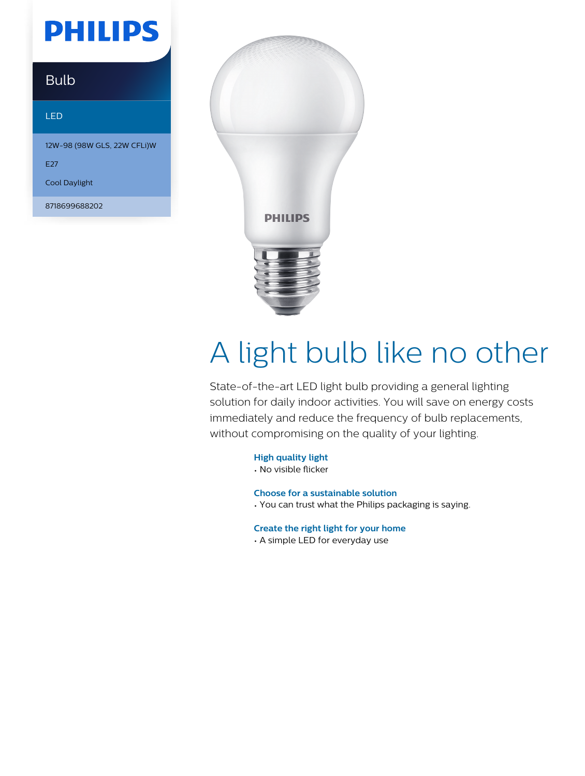## **PHILIPS**

### Bulb

#### LED

12W-98 (98W GLS, 22W CFLi)W

E<sub>27</sub>

Cool Daylight

8718699688202



# A light bulb like no other

State-of-the-art LED light bulb providing a general lighting solution for daily indoor activities. You will save on energy costs immediately and reduce the frequency of bulb replacements, without compromising on the quality of your lighting.

#### **High quality light**

• No visible flicker

#### **Choose for a sustainable solution**

• You can trust what the Philips packaging is saying.

#### **Create the right light for your home**

• A simple LED for everyday use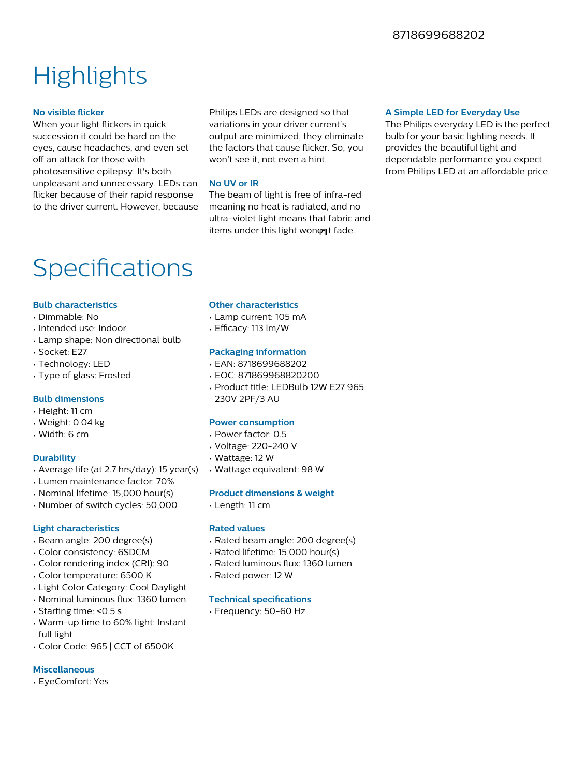### **Highlights**

#### **No visible flicker**

When your light flickers in quick succession it could be hard on the eyes, cause headaches, and even set off an attack for those with photosensitive epilepsy. It's both unpleasant and unnecessary. LEDs can flicker because of their rapid response to the driver current. However, because

Philips LEDs are designed so that variations in your driver current's output are minimized, they eliminate the factors that cause flicker. So, you won't see it, not even a hint.

#### **No UV or IR**

The beam of light is free of infra-red meaning no heat is radiated, and no ultra-violet light means that fabric and items under this light wonφηt fade.

#### **A Simple LED for Everyday Use**

The Philips everyday LED is the perfect bulb for your basic lighting needs. It provides the beautiful light and dependable performance you expect from Philips LED at an affordable price.

### Specifications

#### **Bulb characteristics**

- Dimmable: No
- Intended use: Indoor
- Lamp shape: Non directional bulb
- Socket: E27
- Technology: LED
- Type of glass: Frosted

#### **Bulb dimensions**

- Height: 11 cm
- Weight: 0.04 kg
- Width: 6 cm

#### **Durability**

- Average life (at 2.7 hrs/day): 15 year(s)
- Lumen maintenance factor: 70%
- Nominal lifetime: 15,000 hour(s)
- Number of switch cycles: 50,000

#### **Light characteristics**

- Beam angle: 200 degree(s)
- Color consistency: 6SDCM
- Color rendering index (CRI): 90
- Color temperature: 6500 K
- Light Color Category: Cool Daylight
- Nominal luminous flux: 1360 lumen
- Starting time: <0.5 s
- Warm-up time to 60% light: Instant full light
- Color Code: 965 | CCT of 6500K

#### **Miscellaneous**

• EyeComfort: Yes

#### **Other characteristics**

- Lamp current: 105 mA
- $\cdot$  Efficacy: 113 lm/W

#### **Packaging information**

- EAN: 8718699688202
- EOC: 871869968820200
- Product title: LEDBulb 12W E27 965 230V 2PF/3 AU

#### **Power consumption**

- Power factor: 0.5
- Voltage: 220-240 V
- Wattage: 12 W
- Wattage equivalent: 98 W

#### **Product dimensions & weight**

• Length: 11 cm

#### **Rated values**

- Rated beam angle: 200 degree(s)
- Rated lifetime: 15,000 hour(s)
- Rated luminous flux: 1360 lumen
- Rated power: 12 W

#### **Technical specifications**

• Frequency: 50-60 Hz